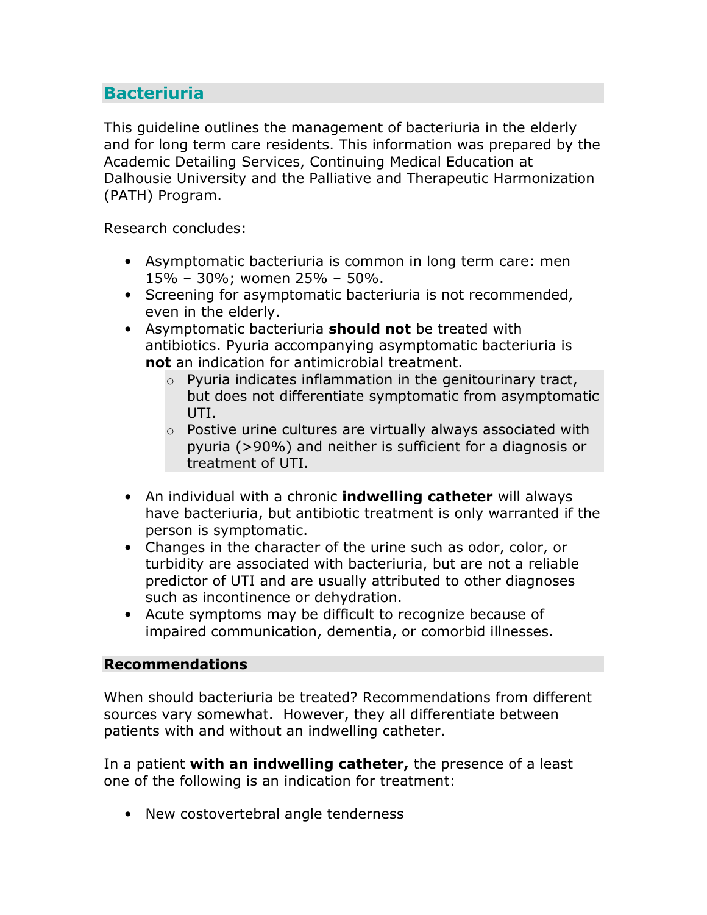## **Bacteriuria**

This guideline outlines the management of bacteriuria in the elderly and for long term care residents. This information was prepared by the Academic Detailing Services, Continuing Medical Education at Dalhousie University and the Palliative and Therapeutic Harmonization (PATH) Program.

Research concludes:

- Asymptomatic bacteriuria is common in long term care: men 15% – 30%; women 25% – 50%.
- Screening for asymptomatic bacteriuria is not recommended, even in the elderly.
- Asymptomatic bacteriuria **should not** be treated with antibiotics. Pyuria accompanying asymptomatic bacteriuria is not an indication for antimicrobial treatment.
	- $\circ$  Pyuria indicates inflammation in the genitourinary tract, but does not differentiate symptomatic from asymptomatic UTI.
	- $\circ$  Postive urine cultures are virtually always associated with pyuria (>90%) and neither is sufficient for a diagnosis or treatment of UTI.
- An individual with a chronic **indwelling catheter** will always have bacteriuria, but antibiotic treatment is only warranted if the person is symptomatic.
- Changes in the character of the urine such as odor, color, or turbidity are associated with bacteriuria, but are not a reliable predictor of UTI and are usually attributed to other diagnoses such as incontinence or dehydration.
- Acute symptoms may be difficult to recognize because of impaired communication, dementia, or comorbid illnesses.

## Recommendations

When should bacteriuria be treated? Recommendations from different sources vary somewhat. However, they all differentiate between patients with and without an indwelling catheter.

In a patient with an indwelling catheter, the presence of a least one of the following is an indication for treatment:

• New costovertebral angle tenderness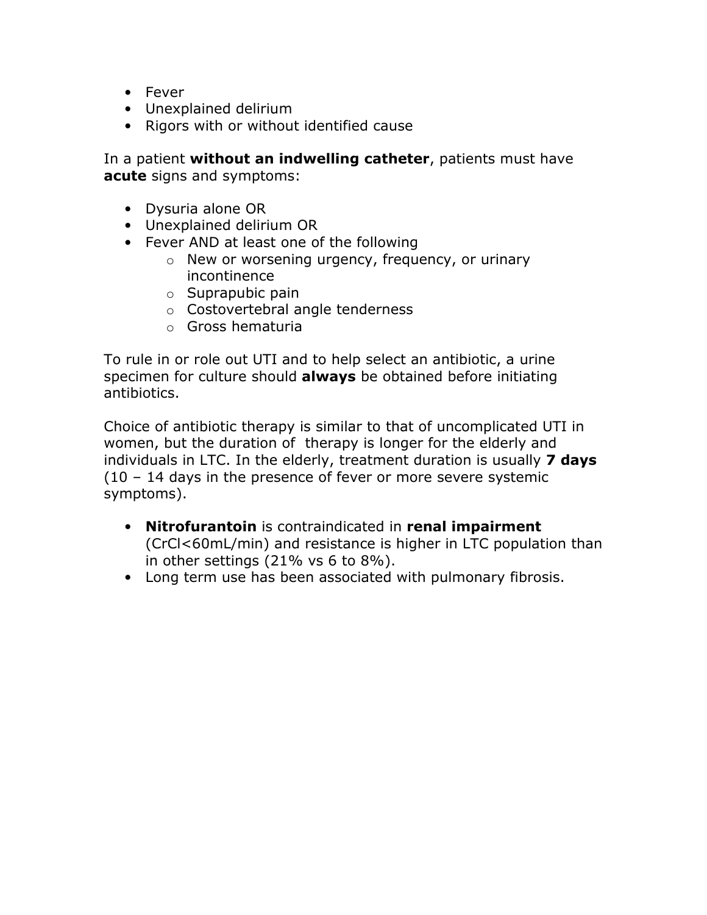- Fever
- Unexplained delirium
- Rigors with or without identified cause

In a patient without an indwelling catheter, patients must have acute signs and symptoms:

- Dysuria alone OR
- Unexplained delirium OR
- Fever AND at least one of the following
	- o New or worsening urgency, frequency, or urinary incontinence
	- $\circ$  Suprapubic pain
	- o Costovertebral angle tenderness
	- o Gross hematuria

To rule in or role out UTI and to help select an antibiotic, a urine specimen for culture should always be obtained before initiating antibiotics.

Choice of antibiotic therapy is similar to that of uncomplicated UTI in women, but the duration of therapy is longer for the elderly and individuals in LTC. In the elderly, treatment duration is usually 7 days (10 – 14 days in the presence of fever or more severe systemic symptoms).

- Nitrofurantoin is contraindicated in renal impairment (CrCl<60mL/min) and resistance is higher in LTC population than in other settings (21% vs 6 to 8%).
- Long term use has been associated with pulmonary fibrosis.